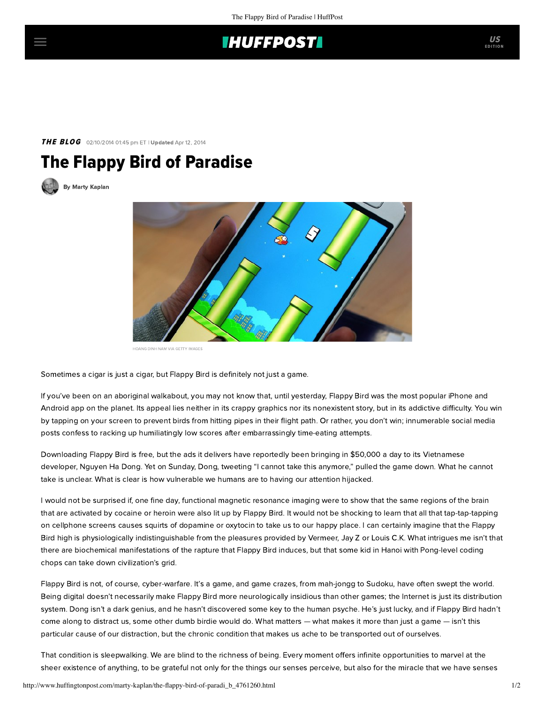## **IHUFFPOSTI**

**THE BLOG** 02/10/2014 01:45 pm ET | Updated Apr 12, 2014

## The Flappy Bird of Paradise





HOANG DINH NAM VIA GETTY IMAGES

Sometimes a cigar is just a cigar, but Flappy Bird is definitely not just a game.

If you've been on an aboriginal walkabout, you may not know that, until yesterday, Flappy Bird was the most popular iPhone and Android app on the planet. Its appeal lies neither in its crappy graphics nor its nonexistent story, but in its addictive difficulty. You win by tapping on your screen to prevent birds from hitting pipes in their flight path. Or rather, you don't win; innumerable social media posts confess to racking up humiliatingly low scores after embarrassingly time-eating attempts.

Downloading Flappy Bird is free, but the ads it delivers have reportedly been bringing in \$50,000 a day to its Vietnamese developer, Nguyen Ha Dong. Yet on Sunday, Dong, tweeting "I cannot take this anymore," pulled the game down. What he cannot take is unclear. What is clear is how vulnerable we humans are to having our attention hijacked.

I would not be surprised if, one fine day, functional magnetic resonance imaging were to show that the same regions of the brain that are activated by cocaine or heroin were also lit up by Flappy Bird. It would not be shocking to learn that all that tap-tap-tapping on cellphone screens causes squirts of dopamine or oxytocin to take us to our happy place. I can certainly imagine that the Flappy Bird high is physiologically indistinguishable from the pleasures provided by Vermeer, Jay Z or Louis C.K. What intrigues me isn't that there are biochemical manifestations of the rapture that Flappy Bird induces, but that some kid in Hanoi with Pong-level coding chops can take down civilization's grid.

Flappy Bird is not, of course, cyber-warfare. It's a game, and game crazes, from mah-jongg to Sudoku, have often swept the world. Being digital doesn't necessarily make Flappy Bird more neurologically insidious than other games; the Internet is just its distribution system. Dong isn't a dark genius, and he hasn't discovered some key to the human psyche. He's just lucky, and if Flappy Bird hadn't come along to distract us, some other dumb birdie would do. What matters — what makes it more than just a game — isn't this particular cause of our distraction, but the chronic condition that makes us ache to be transported out of ourselves.

That condition is sleepwalking. We are blind to the richness of being. Every moment offers infinite opportunities to marvel at the sheer existence of anything, to be grateful not only for the things our senses perceive, but also for the miracle that we have senses